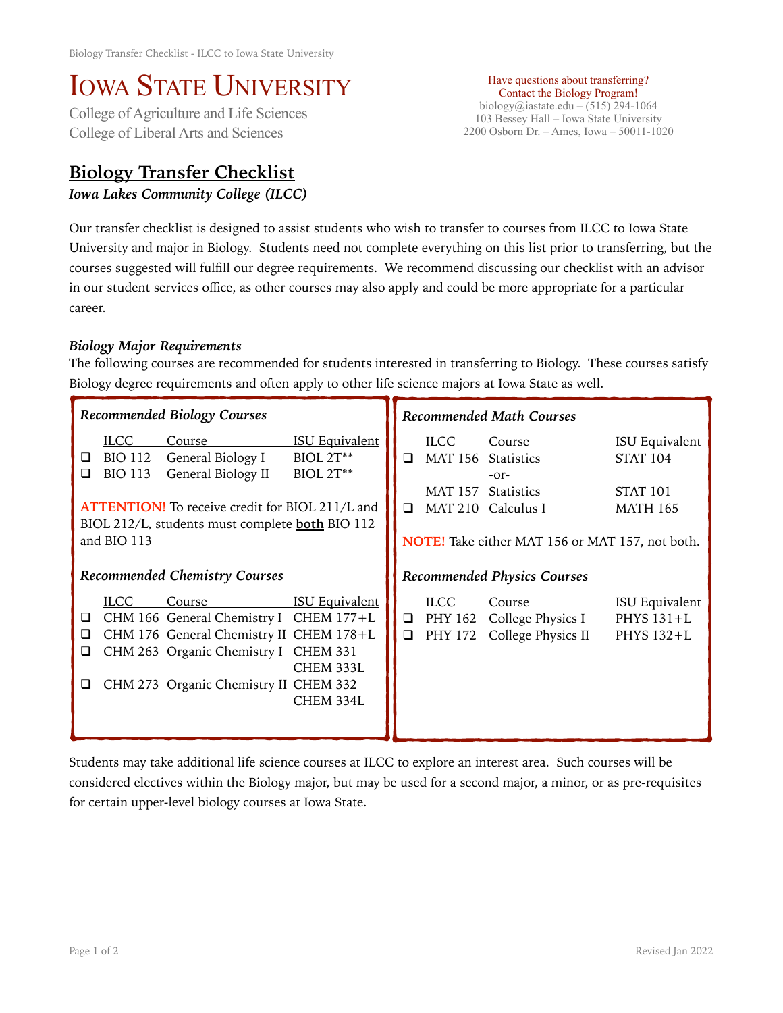## IOWA STATE UNIVERSITY<br>College of Agriculture and Life Sciences

College of Liberal Arts and Sciences

## **Biology Transfer Checklist**

*Iowa Lakes Community College (ILCC)* 

Have questions about transferring? Contact the Biology Program! biology@iastate.edu – (515) 294-1064 103 Bessey Hall – Iowa State University 2200 Osborn Dr. – Ames, Iowa – 50011-1020

Our transfer checklist is designed to assist students who wish to transfer to courses from ILCC to Iowa State University and major in Biology. Students need not complete everything on this list prior to transferring, but the courses suggested will fulfill our degree requirements. We recommend discussing our checklist with an advisor in our student services office, as other courses may also apply and could be more appropriate for a particular career.

## *Biology Major Requirements*

The following courses are recommended for students interested in transferring to Biology. These courses satisfy Biology degree requirements and often apply to other life science majors at Iowa State as well.

| Recommended Biology Courses          |                                                                |                                                                                                                                                                              |                                                           | <b>Recommended Math Courses</b>    |                        |                                                                                                                                              |                                                                                    |
|--------------------------------------|----------------------------------------------------------------|------------------------------------------------------------------------------------------------------------------------------------------------------------------------------|-----------------------------------------------------------|------------------------------------|------------------------|----------------------------------------------------------------------------------------------------------------------------------------------|------------------------------------------------------------------------------------|
| ❏<br>ப                               | <b>ILCC</b><br><b>BIO 112</b><br><b>BIO 113</b><br>and BIO 113 | Course<br>General Biology I<br>General Biology II<br><b>ATTENTION!</b> To receive credit for BIOL 211/L and<br>BIOL 212/L, students must complete <b>both</b> BIO 112        | <b>ISU Equivalent</b><br><b>BIOL 2T**</b><br>$BIOL 2T***$ | $\Box$                             | <b>ILCC</b>            | Course<br>MAT 156 Statistics<br>$-0r-$<br>MAT 157 Statistics<br>$\Box$ MAT 210 Calculus I<br>NOTE! Take either MAT 156 or MAT 157, not both. | <b>ISU Equivalent</b><br><b>STAT 104</b><br>STAT <sub>101</sub><br><b>MATH 165</b> |
| <b>Recommended Chemistry Courses</b> |                                                                |                                                                                                                                                                              |                                                           | <b>Recommended Physics Courses</b> |                        |                                                                                                                                              |                                                                                    |
| ❏<br>ப<br>⊔                          | <b>ILCC</b>                                                    | Course<br>CHM 166 General Chemistry I CHEM 177+L<br>CHM 176 General Chemistry II CHEM 178+L<br>CHM 263 Organic Chemistry I CHEM 331<br>CHM 273 Organic Chemistry II CHEM 332 | <b>ISU Equivalent</b><br>CHEM 333L<br>CHEM 334L           | $\Box$                             | <b>ILCC</b><br>PHY 172 | Course<br>$\Box$ PHY 162 College Physics I<br>College Physics II                                                                             | <b>ISU Equivalent</b><br>PHYS 131+L<br>PHYS 132+L                                  |

Students may take additional life science courses at ILCC to explore an interest area. Such courses will be considered electives within the Biology major, but may be used for a second major, a minor, or as pre-requisites for certain upper-level biology courses at Iowa State.